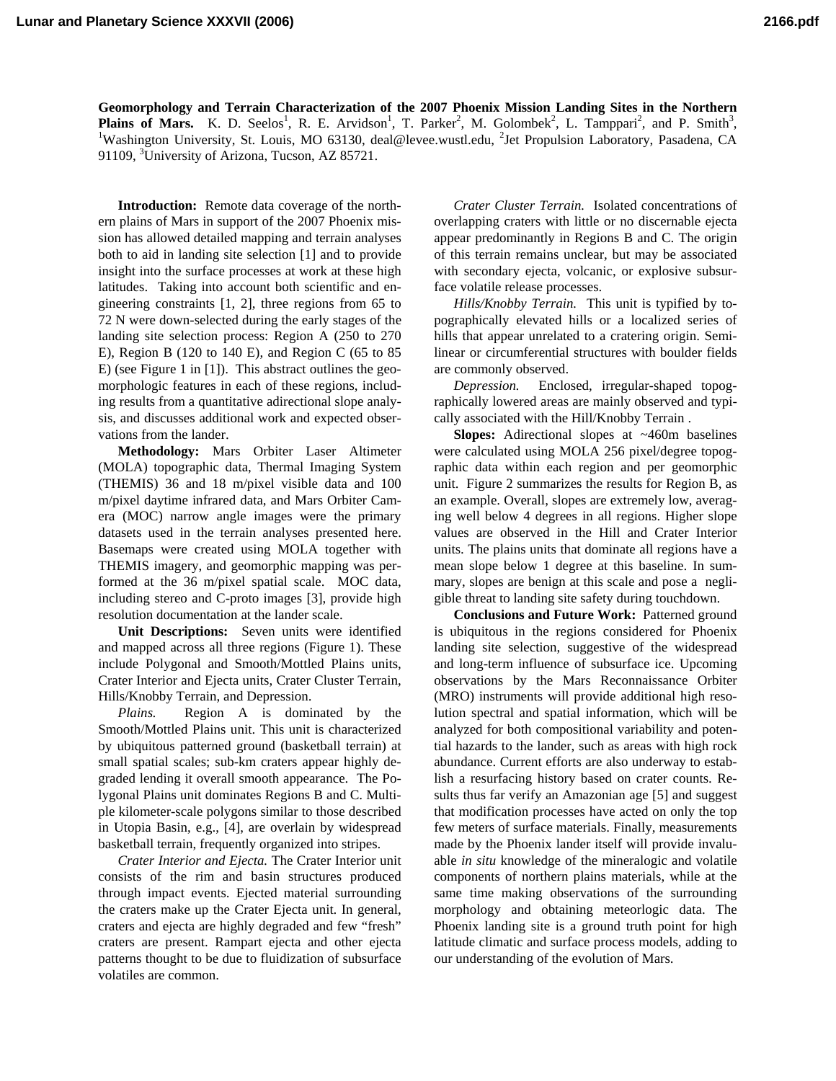**Geomorphology and Terrain Characterization of the 2007 Phoenix Mission Landing Sites in the Northern Plains of Mars.** K. D. Seelos<sup>1</sup>, R. E. Arvidson<sup>1</sup>, T. Parker<sup>2</sup>, M. Golombek<sup>2</sup>, L. Tamppari<sup>2</sup>, and P. Smith<sup>3</sup>, <sup>1</sup>Weshington University St. Louis, MO 63130, deal@layes.yustl.edu. <sup>2</sup>Ist Propulsion Leberstowy Beseden Washington University, St. Louis, MO 63130, deal@levee.wustl.edu, <sup>2</sup>Jet Propulsion Laboratory, Pasadena, CA 91109, <sup>3</sup>University of Arizona, Tucson, AZ 85721.

**Introduction:** Remote data coverage of the northern plains of Mars in support of the 2007 Phoenix mission has allowed detailed mapping and terrain analyses both to aid in landing site selection [1] and to provide insight into the surface processes at work at these high latitudes. Taking into account both scientific and engineering constraints [1, 2], three regions from 65 to 72 N were down-selected during the early stages of the landing site selection process: Region A (250 to 270 E), Region B (120 to 140 E), and Region C (65 to 85 E) (see Figure 1 in [1]). This abstract outlines the geomorphologic features in each of these regions, including results from a quantitative adirectional slope analysis, and discusses additional work and expected observations from the lander.

**Methodology:** Mars Orbiter Laser Altimeter (MOLA) topographic data, Thermal Imaging System (THEMIS) 36 and 18 m/pixel visible data and 100 m/pixel daytime infrared data, and Mars Orbiter Camera (MOC) narrow angle images were the primary datasets used in the terrain analyses presented here. Basemaps were created using MOLA together with THEMIS imagery, and geomorphic mapping was performed at the 36 m/pixel spatial scale. MOC data, including stereo and C-proto images [3], provide high resolution documentation at the lander scale.

**Unit Descriptions:** Seven units were identified and mapped across all three regions (Figure 1). These include Polygonal and Smooth/Mottled Plains units, Crater Interior and Ejecta units, Crater Cluster Terrain, Hills/Knobby Terrain, and Depression.

*Plains.* Region A is dominated by the Smooth/Mottled Plains unit. This unit is characterized by ubiquitous patterned ground (basketball terrain) at small spatial scales; sub-km craters appear highly degraded lending it overall smooth appearance. The Polygonal Plains unit dominates Regions B and C. Multiple kilometer-scale polygons similar to those described in Utopia Basin, e.g., [4], are overlain by widespread basketball terrain, frequently organized into stripes.

*Crater Interior and Ejecta.* The Crater Interior unit consists of the rim and basin structures produced through impact events. Ejected material surrounding the craters make up the Crater Ejecta unit. In general, craters and ejecta are highly degraded and few "fresh" craters are present. Rampart ejecta and other ejecta patterns thought to be due to fluidization of subsurface volatiles are common.

*Crater Cluster Terrain.* Isolated concentrations of overlapping craters with little or no discernable ejecta appear predominantly in Regions B and C. The origin of this terrain remains unclear, but may be associated with secondary ejecta, volcanic, or explosive subsurface volatile release processes.

*Hills/Knobby Terrain.* This unit is typified by topographically elevated hills or a localized series of hills that appear unrelated to a cratering origin. Semilinear or circumferential structures with boulder fields are commonly observed.

*Depression.* Enclosed, irregular-shaped topographically lowered areas are mainly observed and typically associated with the Hill/Knobby Terrain .

**Slopes:** Adirectional slopes at ~460m baselines were calculated using MOLA 256 pixel/degree topographic data within each region and per geomorphic unit. Figure 2 summarizes the results for Region B, as an example. Overall, slopes are extremely low, averaging well below 4 degrees in all regions. Higher slope values are observed in the Hill and Crater Interior units. The plains units that dominate all regions have a mean slope below 1 degree at this baseline. In summary, slopes are benign at this scale and pose a negligible threat to landing site safety during touchdown.

**Conclusions and Future Work:** Patterned ground is ubiquitous in the regions considered for Phoenix landing site selection, suggestive of the widespread and long-term influence of subsurface ice. Upcoming observations by the Mars Reconnaissance Orbiter (MRO) instruments will provide additional high resolution spectral and spatial information, which will be analyzed for both compositional variability and potential hazards to the lander, such as areas with high rock abundance. Current efforts are also underway to establish a resurfacing history based on crater counts. Results thus far verify an Amazonian age [5] and suggest that modification processes have acted on only the top few meters of surface materials. Finally, measurements made by the Phoenix lander itself will provide invaluable *in situ* knowledge of the mineralogic and volatile components of northern plains materials, while at the same time making observations of the surrounding morphology and obtaining meteorlogic data. The Phoenix landing site is a ground truth point for high latitude climatic and surface process models, adding to our understanding of the evolution of Mars.